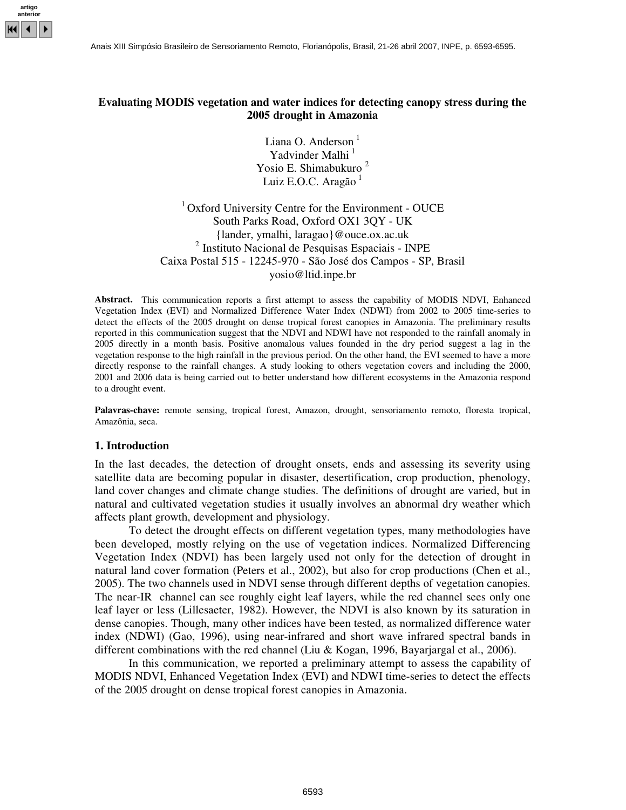

# **Evaluating MODIS vegetation and water indices for detecting canopy stress during the 2005 drought in Amazonia**

Liana O. Anderson<sup>1</sup> Yadvinder Malhi<sup>1</sup> Yosio E. Shimabukuro<sup>2</sup> Luiz E.O.C. Aragão <sup>1</sup>

<sup>1</sup> Oxford University Centre for the Environment - OUCE South Parks Road, Oxford OX1 3QY - UK {lander, ymalhi, laragao}@ouce.ox.ac.uk 2 Instituto Nacional de Pesquisas Espaciais - INPE Caixa Postal 515 - 12245-970 - São José dos Campos - SP, Brasil yosio@ltid.inpe.br

**Abstract.** This communication reports a first attempt to assess the capability of MODIS NDVI, Enhanced Vegetation Index (EVI) and Normalized Difference Water Index (NDWI) from 2002 to 2005 time-series to detect the effects of the 2005 drought on dense tropical forest canopies in Amazonia. The preliminary results reported in this communication suggest that the NDVI and NDWI have not responded to the rainfall anomaly in 2005 directly in a month basis. Positive anomalous values founded in the dry period suggest a lag in the vegetation response to the high rainfall in the previous period. On the other hand, the EVI seemed to have a more directly response to the rainfall changes. A study looking to others vegetation covers and including the 2000, 2001 and 2006 data is being carried out to better understand how different ecosystems in the Amazonia respond to a drought event.

Palavras-chave: remote sensing, tropical forest, Amazon, drought, sensoriamento remoto, floresta tropical, Amazônia, seca.

#### **1. Introduction**

In the last decades, the detection of drought onsets, ends and assessing its severity using satellite data are becoming popular in disaster, desertification, crop production, phenology, land cover changes and climate change studies. The definitions of drought are varied, but in natural and cultivated vegetation studies it usually involves an abnormal dry weather which affects plant growth, development and physiology.

To detect the drought effects on different vegetation types, many methodologies have been developed, mostly relying on the use of vegetation indices. Normalized Differencing Vegetation Index (NDVI) has been largely used not only for the detection of drought in natural land cover formation (Peters et al., 2002), but also for crop productions (Chen et al., 2005). The two channels used in NDVI sense through different depths of vegetation canopies. The near-IR channel can see roughly eight leaf layers, while the red channel sees only one leaf layer or less (Lillesaeter, 1982). However, the NDVI is also known by its saturation in dense canopies. Though, many other indices have been tested, as normalized difference water index (NDWI) (Gao, 1996), using near-infrared and short wave infrared spectral bands in different combinations with the red channel (Liu & Kogan, 1996, Bayarjargal et al., 2006).

In this communication, we reported a preliminary attempt to assess the capability of MODIS NDVI, Enhanced Vegetation Index (EVI) and NDWI time-series to detect the effects of the 2005 drought on dense tropical forest canopies in Amazonia.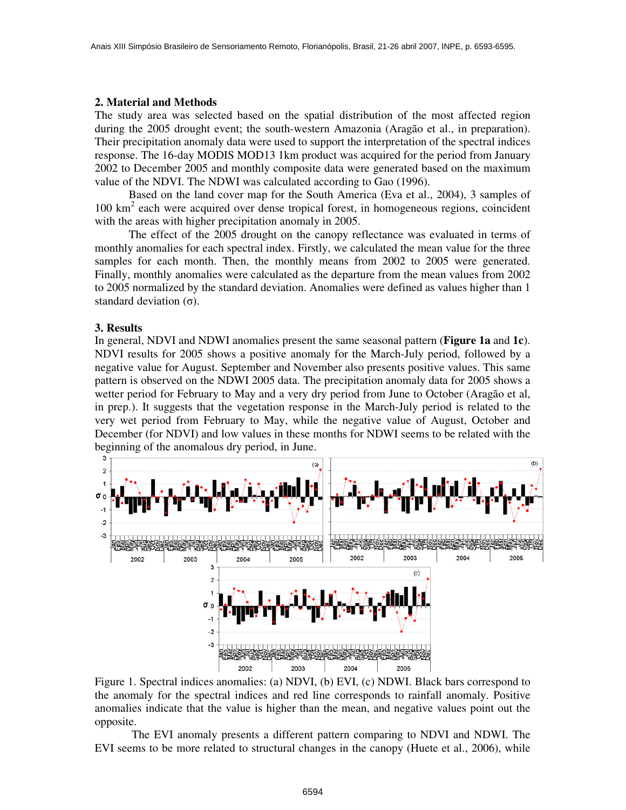## **2. Material and Methods**

The study area was selected based on the spatial distribution of the most affected region during the 2005 drought event; the south-western Amazonia (Aragão et al., in preparation). Their precipitation anomaly data were used to support the interpretation of the spectral indices response. The 16-day MODIS MOD13 1km product was acquired for the period from January 2002 to December 2005 and monthly composite data were generated based on the maximum value of the NDVI. The NDWI was calculated according to Gao (1996).

Based on the land cover map for the South America (Eva et al., 2004), 3 samples of 100 km 2 each were acquired over dense tropical forest, in homogeneous regions, coincident with the areas with higher precipitation anomaly in 2005.

The effect of the 2005 drought on the canopy reflectance was evaluated in terms of monthly anomalies for each spectral index. Firstly, we calculated the mean value for the three samples for each month. Then, the monthly means from 2002 to 2005 were generated. Finally, monthly anomalies were calculated as the departure from the mean values from 2002 to 2005 normalized by the standard deviation. Anomalies were defined as values higher than 1 standard deviation  $(\sigma)$ .

#### **3. Results**

In general, NDVI and NDWI anomalies present the same seasonal pattern (**Figure 1a** and **1c**). NDVI results for 2005 shows a positive anomaly for the March-July period, followed by a negative value for August. September and November also presents positive values. This same pattern is observed on the NDWI 2005 data. The precipitation anomaly data for 2005 shows a wetter period for February to May and a very dry period from June to October (Aragão et al, in prep.). It suggests that the vegetation response in the March-July period is related to the very wet period from February to May, while the negative value of August, October and December (for NDVI) and low values in these months for NDWI seems to be related with the beginning of the anomalous dry period, in June.



Figure 1. Spectral indices anomalies: (a) NDVI, (b) EVI, (c) NDWI. Black bars correspond to the anomaly for the spectral indices and red line corresponds to rainfall anomaly. Positive anomalies indicate that the value is higher than the mean, and negative values point out the opposite.

The EVI anomaly presents a different pattern comparing to NDVI and NDWI. The EVI seems to be more related to structural changes in the canopy (Huete et al., 2006), while